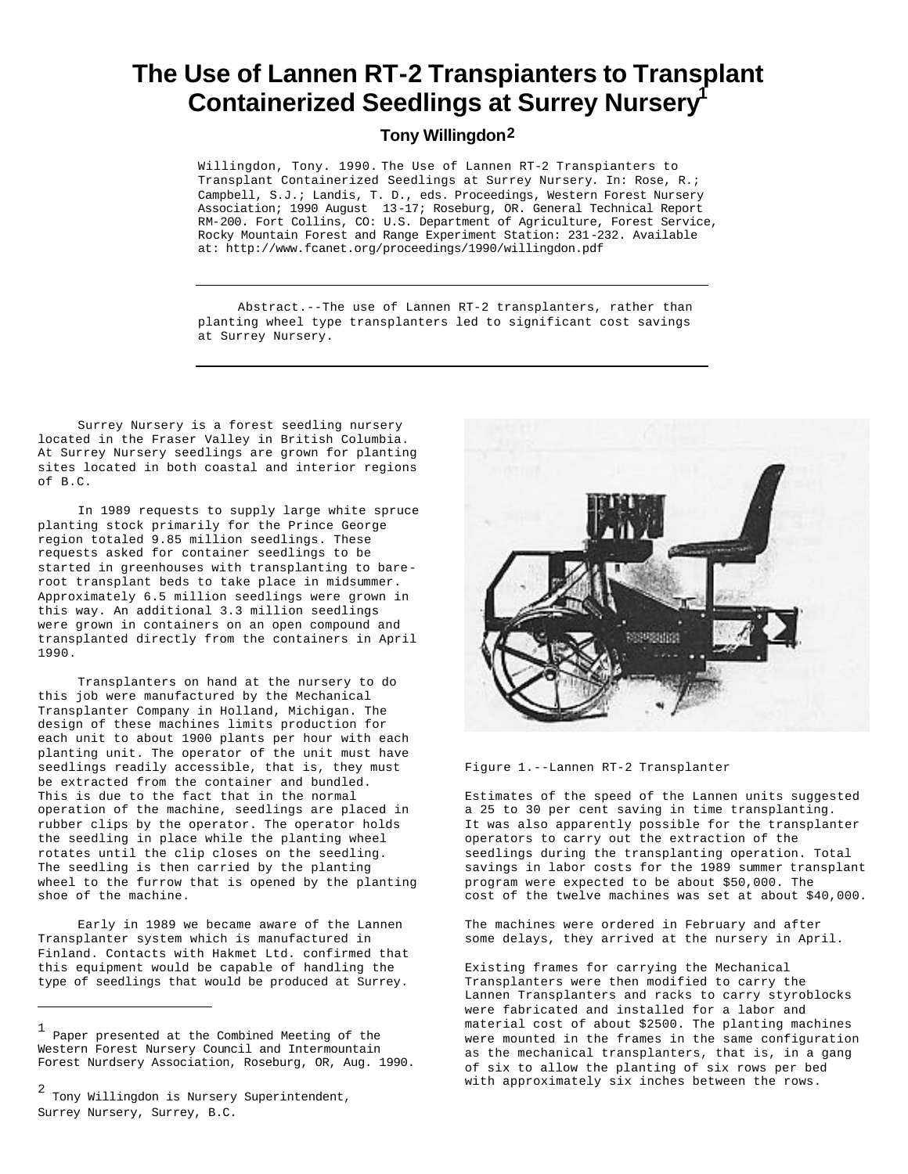## **The Use of Lannen RT-2 Transpianters to Transplant Containerized Seedlings at Surrey Nursery<sup>1</sup>**

**Tony Willingdon2**

Willingdon, Tony. 1990. The Use of Lannen RT-2 Transpianters to Transplant Containerized Seedlings at Surrey Nursery. In: Rose, R.; Campbell, S.J.; Landis, T. D., eds. Proceedings, Western Forest Nursery Association; 1990 August 13-17; Roseburg, OR. General Technical Report RM-200. Fort Collins, CO: U.S. Department of Agriculture, Forest Service, Rocky Mountain Forest and Range Experiment Station: 231-232. Available at: http://www.fcanet.org/proceedings/1990/willingdon.pdf

Abstract.--The use of Lannen RT-2 transplanters, rather than planting wheel type transplanters led to significant cost savings at Surrey Nursery.

Surrey Nursery is a forest seedling nursery located in the Fraser Valley in British Columbia. At Surrey Nursery seedlings are grown for planting sites located in both coastal and interior regions of B.C.

In 1989 requests to supply large white spruce planting stock primarily for the Prince George region totaled 9.85 million seedlings. These requests asked for container seedlings to be started in greenhouses with transplanting to bareroot transplant beds to take place in midsummer. Approximately 6.5 million seedlings were grown in this way. An additional 3.3 million seedlings were grown in containers on an open compound and transplanted directly from the containers in April 1990.

Transplanters on hand at the nursery to do this job were manufactured by the Mechanical Transplanter Company in Holland, Michigan. The design of these machines limits production for each unit to about 1900 plants per hour with each planting unit. The operator of the unit must have seedlings readily accessible, that is, they must be extracted from the container and bundled. This is due to the fact that in the normal operation of the machine, seedlings are placed in rubber clips by the operator. The operator holds the seedling in place while the planting wheel rotates until the clip closes on the seedling. The seedling is then carried by the planting wheel to the furrow that is opened by the planting shoe of the machine.

Early in 1989 we became aware of the Lannen Transplanter system which is manufactured in Finland. Contacts with Hakmet Ltd. confirmed that this equipment would be capable of handling the type of seedlings that would be produced at Surrey.



Figure 1.--Lannen RT-2 Transplanter

Estimates of the speed of the Lannen units suggested a 25 to 30 per cent saving in time transplanting. It was also apparently possible for the transplanter operators to carry out the extraction of the seedlings during the transplanting operation. Total savings in labor costs for the 1989 summer transplant program were expected to be about \$50,000. The cost of the twelve machines was set at about \$40,000.

The machines were ordered in February and after some delays, they arrived at the nursery in April.

Existing frames for carrying the Mechanical Transplanters were then modified to carry the Lannen Transplanters and racks to carry styroblocks were fabricated and installed for a labor and material cost of about \$2500. The planting machines were mounted in the frames in the same configuration as the mechanical transplanters, that is, in a gang of six to allow the planting of six rows per bed with approximately six inches between the rows.

<sup>1</sup> Paper presented at the Combined Meeting of the Western Forest Nursery Council and Intermountain Forest Nurdsery Association, Roseburg, OR, Aug. 1990.

<sup>2</sup> Tony Willingdon is Nursery Superintendent, Surrey Nursery, Surrey, B.C.